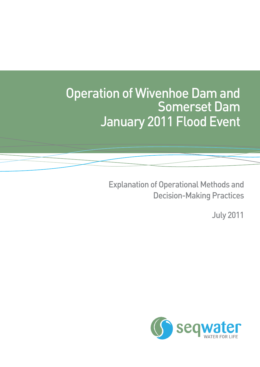# Operation of Wivenhoe Dam and Somerset Dam January 2011 Flood Event

Explanation of Operational Methods and Decision-Making Practices

July 2011

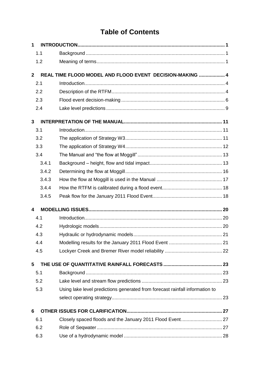# **Table of Contents**

| $\mathbf 1$             |       |                                                                              |  |
|-------------------------|-------|------------------------------------------------------------------------------|--|
|                         | 1.1   |                                                                              |  |
|                         | 1.2   |                                                                              |  |
| $\mathbf{2}$            |       | REAL TIME FLOOD MODEL AND FLOOD EVENT DECISION-MAKING  4                     |  |
|                         | 2.1   |                                                                              |  |
|                         | 2.2   |                                                                              |  |
|                         | 2.3   |                                                                              |  |
|                         | 2.4   |                                                                              |  |
| 3                       |       |                                                                              |  |
|                         | 3.1   |                                                                              |  |
|                         | 3.2   |                                                                              |  |
|                         | 3.3   |                                                                              |  |
|                         | 3.4   |                                                                              |  |
|                         | 3.4.1 |                                                                              |  |
|                         | 3.4.2 |                                                                              |  |
|                         | 3.4.3 |                                                                              |  |
|                         | 3.4.4 |                                                                              |  |
|                         | 3.4.5 |                                                                              |  |
| $\overline{\mathbf{A}}$ |       |                                                                              |  |
|                         | 4.1   |                                                                              |  |
|                         | 4.2   |                                                                              |  |
|                         | 4.3   |                                                                              |  |
|                         | 4.4   |                                                                              |  |
|                         | 4.5   |                                                                              |  |
| 5                       |       |                                                                              |  |
|                         | 5.1   |                                                                              |  |
|                         | 5.2   |                                                                              |  |
|                         | 5.3   | Using lake level predictions generated from forecast rainfall information to |  |
|                         |       |                                                                              |  |
| 6                       |       |                                                                              |  |
|                         | 6.1   |                                                                              |  |
|                         | 6.2   |                                                                              |  |
|                         | 6.3   |                                                                              |  |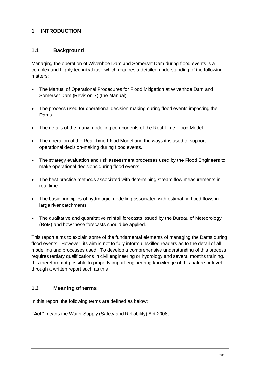# **1 INTRODUCTION**

#### **1.1 Background**

Managing the operation of Wivenhoe Dam and Somerset Dam during flood events is a complex and highly technical task which requires a detailed understanding of the following matters:

- The Manual of Operational Procedures for Flood Mitigation at Wivenhoe Dam and Somerset Dam (Revision 7) (the Manual).
- The process used for operational decision-making during flood events impacting the Dams.
- The details of the many modelling components of the Real Time Flood Model.
- The operation of the Real Time Flood Model and the ways it is used to support operational decision-making during flood events.
- The strategy evaluation and risk assessment processes used by the Flood Engineers to make operational decisions during flood events.
- The best practice methods associated with determining stream flow measurements in real time.
- The basic principles of hydrologic modelling associated with estimating flood flows in large river catchments.
- The qualitative and quantitative rainfall forecasts issued by the Bureau of Meteorology (BoM) and how these forecasts should be applied.

This report aims to explain some of the fundamental elements of managing the Dams during flood events. However, its aim is not to fully inform unskilled readers as to the detail of all modelling and processes used. To develop a comprehensive understanding of this process requires tertiary qualifications in civil engineering or hydrology and several months training. It is therefore not possible to properly impart engineering knowledge of this nature or level through a written report such as this

# **1.2 Meaning of terms**

In this report, the following terms are defined as below:

**"Act"** means the Water Supply (Safety and Reliability) Act 2008;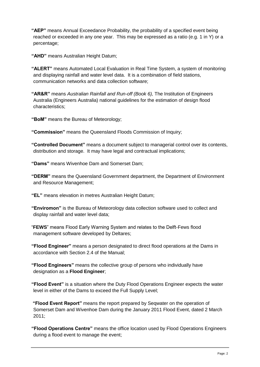**"AEP"** means Annual Exceedance Probability, the probability of a specified event being reached or exceeded in any one year. This may be expressed as a ratio (e.g. 1 in Y) or a percentage;

**"AHD"** means Australian Height Datum;

**"ALERT"** means Automated Local Evaluation in Real Time System, a system of monitoring and displaying rainfall and water level data. It is a combination of field stations, communication networks and data collection software;

**"AR&R"** means *Australian Rainfall and Run-off (Book 6),* The Institution of Engineers Australia (Engineers Australia) national guidelines for the estimation of design flood characteristics;

**"BoM"** means the Bureau of Meteorology;

**"Commission"** means the Queensland Floods Commission of Inquiry;

**"Controlled Document"** means a document subject to managerial control over its contents, distribution and storage. It may have legal and contractual implications;

**"Dams"** means Wivenhoe Dam and Somerset Dam;

**"DERM"** means the Queensland Government department, the Department of Environment and Resource Management;

**"EL"** means elevation in metres Australian Height Datum;

**"Enviromon"** is the Bureau of Meteorology data collection software used to collect and display rainfall and water level data;

"**FEWS**" means Flood Early Warning System and relates to the Delft-Fews flood management software developed by Deltares;

**"Flood Engineer"** means a person designated to direct flood operations at the Dams in accordance with Section 2.4 of the Manual;

**"Flood Engineers"** means the collective group of persons who individually have designation as a **Flood Engineer**;

**"Flood Event"** is a situation where the Duty Flood Operations Engineer expects the water level in either of the Dams to exceed the Full Supply Level;

**"Flood Event Report"** means the report prepared by Seqwater on the operation of Somerset Dam and Wivenhoe Dam during the January 2011 Flood Event, dated 2 March 2011;

**"Flood Operations Centre"** means the office location used by Flood Operations Engineers during a flood event to manage the event;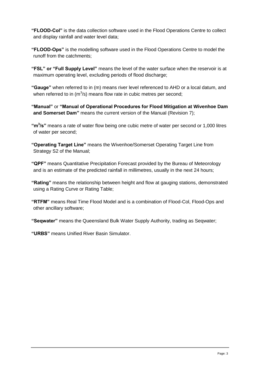**"FLOOD-Col"** is the data collection software used in the Flood Operations Centre to collect and display rainfall and water level data;

**"FLOOD-Ops"** is the modelling software used in the Flood Operations Centre to model the runoff from the catchments;

**"FSL" or "Full Supply Level"** means the level of the water surface when the reservoir is at maximum operating level, excluding periods of flood discharge;

**"Gauge"** when referred to in (m) means river level referenced to AHD or a local datum, and when referred to in (m<sup>3</sup>/s) means flow rate in cubic metres per second;

**"Manual"** or **"Manual of Operational Procedures for Flood Mitigation at Wivenhoe Dam and Somerset Dam"** means the current version of the Manual (Revision 7);

"m<sup>3</sup>/s" means a rate of water flow being one cubic metre of water per second or 1,000 litres of water per second;

**"Operating Target Line"** means the Wivenhoe/Somerset Operating Target Line from Strategy S2 of the Manual;

**"QPF"** means Quantitative Precipitation Forecast provided by the Bureau of Meteorology and is an estimate of the predicted rainfall in millimetres, usually in the next 24 hours;

**"Rating"** means the relationship between height and flow at gauging stations, demonstrated using a Rating Curve or Rating Table;

**"RTFM"** means Real Time Flood Model and is a combination of Flood-Col, Flood-Ops and other ancillary software;

**"Seqwater"** means the Queensland Bulk Water Supply Authority, trading as Seqwater;

**"URBS"** means Unified River Basin Simulator.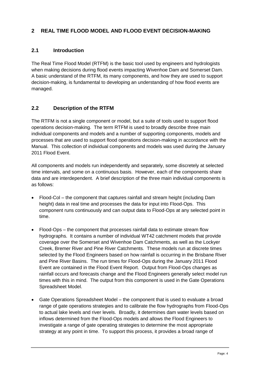# **2 REAL TIME FLOOD MODEL AND FLOOD EVENT DECISION-MAKING**

# **2.1 Introduction**

The Real Time Flood Model (RTFM) is the basic tool used by engineers and hydrologists when making decisions during flood events impacting Wivenhoe Dam and Somerset Dam. A basic understand of the RTFM, its many components, and how they are used to support decision-making, is fundamental to developing an understanding of how flood events are managed.

# **2.2 Description of the RTFM**

The RTFM is not a single component or model, but a suite of tools used to support flood operations decision-making. The term RTFM is used to broadly describe three main individual components and models and a number of supporting components, models and processes that are used to support flood operations decision-making in accordance with the Manual. This collection of individual components and models was used during the January 2011 Flood Event.

All components and models run independently and separately, some discretely at selected time intervals, and some on a continuous basis. However, each of the components share data and are interdependent. A brief description of the three main individual components is as follows:

- Flood-Col the component that captures rainfall and stream height (including Dam height) data in real time and processes the data for input into Flood-Ops. This component runs continuously and can output data to Flood-Ops at any selected point in time.
- Flood-Ops the component that processes rainfall data to estimate stream flow hydrographs. It contains a number of individual WT42 catchment models that provide coverage over the Somerset and Wivenhoe Dam Catchments, as well as the Lockyer Creek, Bremer River and Pine River Catchments. These models run at discrete times selected by the Flood Engineers based on how rainfall is occurring in the Brisbane River and Pine River Basins. The run times for Flood-Ops during the January 2011 Flood Event are contained in the Flood Event Report. Output from Flood-Ops changes as rainfall occurs and forecasts change and the Flood Engineers generally select model run times with this in mind. The output from this component is used in the Gate Operations Spreadsheet Model.
- Gate Operations Spreadsheet Model the component that is used to evaluate a broad range of gate operations strategies and to calibrate the flow hydrographs from Flood-Ops to actual lake levels and river levels. Broadly, it determines dam water levels based on inflows determined from the Flood-Ops models and allows the Flood Engineers to investigate a range of gate operating strategies to determine the most appropriate strategy at any point in time. To support this process, it provides a broad range of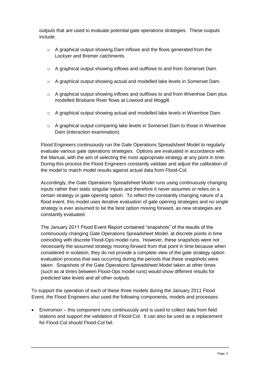outputs that are used to evaluate potential gate operations strategies. These outputs include:

- o A graphical output showing Dam inflows and the flows generated from the Lockyer and Bremer catchments.
- o A graphical output showing inflows and outflows to and from Somerset Dam.
- o A graphical output showing actual and modelled lake levels in Somerset Dam.
- $\circ$  A graphical output showing inflows and outflows to and from Wivenhoe Dam plus modelled Brisbane River flows at Lowood and Moggill.
- $\circ$  A graphical output showing actual and modelled lake levels in Wivenhoe Dam.
- o A graphical output comparing lake levels in Somerset Dam to those in Wivenhoe Dam (interaction examination).

Flood Engineers continuously run the Gate Operations Spreadsheet Model to regularly evaluate various gate operations strategies. Options are evaluated in accordance with the Manual, with the aim of selecting the most appropriate strategy at any point in time. During this process the Flood Engineers constantly validate and adjust the calibration of the model to match model results against actual data from Flood-Col.

Accordingly, the Gate Operations Spreadsheet Model runs using continuously changing inputs rather than static singular inputs and therefore it never assumes or relies on a certain strategy or gate opening option. To reflect the constantly changing nature of a flood event, this model uses iterative evaluation of gate opening strategies and no single strategy is ever assumed to be the best option moving forward, as new strategies are constantly evaluated.

The January 2011 Flood Event Report contained "snapshots" of the results of the continuously changing Gate Operations Spreadsheet Model, at discrete points in time coinciding with discrete Flood-Ops model runs. However, these snapshots were not necessarily the assumed strategy moving forward from that point in time because when considered in isolation, they do not provide a complete view of the gate strategy option evaluation process that was occurring during the periods that these snapshots were taken. Snapshots of the Gate Operations Spreadsheet Model taken at other times (such as at times between Flood-Ops model runs) would show different results for predicted lake levels and all other outputs.

To support the operation of each of these three models during the January 2011 Flood Event, the Flood Engineers also used the following components, models and processes:

 Enviromon – this component runs continuously and is used to collect data from field stations and support the validation of Flood-Col. It can also be used as a replacement for Flood-Col should Flood-Col fail.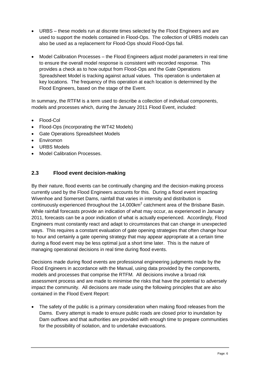- URBS these models run at discrete times selected by the Flood Engineers and are used to support the models contained in Flood-Ops. The collection of URBS models can also be used as a replacement for Flood-Ops should Flood-Ops fail.
- Model Calibration Processes the Flood Engineers adjust model parameters in real time to ensure the overall model response is consistent with recorded response. This provides a check as to how output from Flood-Ops and the Gate Operations Spreadsheet Model is tracking against actual values. This operation is undertaken at key locations. The frequency of this operation at each location is determined by the Flood Engineers, based on the stage of the Event.

In summary, the RTFM is a term used to describe a collection of individual components, models and processes which, during the January 2011 Flood Event, included:

- Flood-Col
- Flood-Ops (incorporating the WT42 Models)
- Gate Operations Spreadsheet Models
- Enviromon
- URBS Models
- Model Calibration Processes.

#### **2.3 Flood event decision-making**

By their nature, flood events can be continually changing and the decision-making process currently used by the Flood Engineers accounts for this. During a flood event impacting Wivenhoe and Somerset Dams, rainfall that varies in intensity and distribution is continuously experienced throughout the  $14,000$ km<sup>2</sup> catchment area of the Brisbane Basin. While rainfall forecasts provide an indication of what may occur, as experienced in January 2011, forecasts can be a poor indication of what is actually experienced. Accordingly, Flood Engineers must constantly react and adapt to circumstances that can change in unexpected ways. This requires a constant evaluation of gate opening strategies that often change hour to hour and certainly a gate opening strategy that may appear appropriate at a certain time during a flood event may be less optimal just a short time later. This is the nature of managing operational decisions in real time during flood events.

Decisions made during flood events are professional engineering judgments made by the Flood Engineers in accordance with the Manual, using data provided by the components, models and processes that comprise the RTFM. All decisions involve a broad risk assessment process and are made to minimise the risks that have the potential to adversely impact the community. All decisions are made using the following principles that are also contained in the Flood Event Report:

 The safety of the public is a primary consideration when making flood releases from the Dams. Every attempt is made to ensure public roads are closed prior to inundation by Dam outflows and that authorities are provided with enough time to prepare communities for the possibility of isolation, and to undertake evacuations.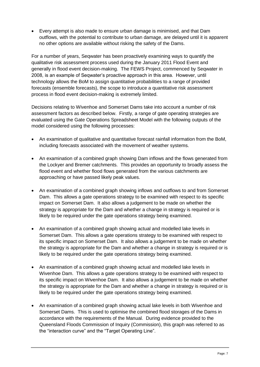Every attempt is also made to ensure urban damage is minimised, and that Dam outflows, with the potential to contribute to urban damage, are delayed until it is apparent no other options are available without risking the safety of the Dams.

For a number of years, Seqwater has been proactively examining ways to quantify the qualitative risk assessment process used during the January 2011 Flood Event and generally in flood event decision-making. The FEWS Project, commenced by Seqwater in 2008, is an example of Seqwater"s proactive approach in this area. However, until technology allows the BoM to assign quantitative probabilities to a range of provided forecasts (ensemble forecasts), the scope to introduce a quantitative risk assessment process in flood event decision-making is extremely limited.

Decisions relating to Wivenhoe and Somerset Dams take into account a number of risk assessment factors as described below. Firstly, a range of gate operating strategies are evaluated using the Gate Operations Spreadsheet Model with the following outputs of the model considered using the following processes:

- An examination of qualitative and quantitative forecast rainfall information from the BoM, including forecasts associated with the movement of weather systems.
- An examination of a combined graph showing Dam inflows and the flows generated from the Lockyer and Bremer catchments. This provides an opportunity to broadly assess the flood event and whether flood flows generated from the various catchments are approaching or have passed likely peak values.
- An examination of a combined graph showing inflows and outflows to and from Somerset Dam. This allows a gate operations strategy to be examined with respect to its specific impact on Somerset Dam. It also allows a judgement to be made on whether the strategy is appropriate for the Dam and whether a change in strategy is required or is likely to be required under the gate operations strategy being examined.
- An examination of a combined graph showing actual and modelled lake levels in Somerset Dam. This allows a gate operations strategy to be examined with respect to its specific impact on Somerset Dam. It also allows a judgement to be made on whether the strategy is appropriate for the Dam and whether a change in strategy is required or is likely to be required under the gate operations strategy being examined.
- An examination of a combined graph showing actual and modelled lake levels in Wivenhoe Dam. This allows a gate operations strategy to be examined with respect to its specific impact on Wivenhoe Dam. It also allows a judgement to be made on whether the strategy is appropriate for the Dam and whether a change in strategy is required or is likely to be required under the gate operations strategy being examined.
- An examination of a combined graph showing actual lake levels in both Wivenhoe and Somerset Dams. This is used to optimise the combined flood storages of the Dams in accordance with the requirements of the Manual. During evidence provided to the Queensland Floods Commission of Inquiry (Commission), this graph was referred to as the "interaction curve" and the "Target Operating Line".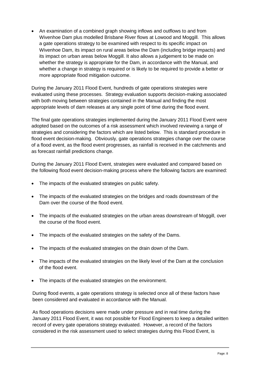• An examination of a combined graph showing inflows and outflows to and from Wivenhoe Dam plus modelled Brisbane River flows at Lowood and Moggill. This allows a gate operations strategy to be examined with respect to its specific impact on Wivenhoe Dam, its impact on rural areas below the Dam (including bridge impacts) and its impact on urban areas below Moggill. It also allows a judgement to be made on whether the strategy is appropriate for the Dam, in accordance with the Manual, and whether a change in strategy is required or is likely to be required to provide a better or more appropriate flood mitigation outcome.

During the January 2011 Flood Event, hundreds of gate operations strategies were evaluated using these processes. Strategy evaluation supports decision-making associated with both moving between strategies contained in the Manual and finding the most appropriate levels of dam releases at any single point of time during the flood event.

The final gate operations strategies implemented during the January 2011 Flood Event were adopted based on the outcomes of a risk assessment which involved reviewing a range of strategies and considering the factors which are listed below. This is standard procedure in flood event decision-making. Obviously, gate operations strategies change over the course of a flood event, as the flood event progresses, as rainfall is received in the catchments and as forecast rainfall predictions change.

During the January 2011 Flood Event, strategies were evaluated and compared based on the following flood event decision-making process where the following factors are examined:

- The impacts of the evaluated strategies on public safety.
- The impacts of the evaluated strategies on the bridges and roads downstream of the Dam over the course of the flood event.
- The impacts of the evaluated strategies on the urban areas downstream of Moggill, over the course of the flood event.
- The impacts of the evaluated strategies on the safety of the Dams.
- The impacts of the evaluated strategies on the drain down of the Dam.
- The impacts of the evaluated strategies on the likely level of the Dam at the conclusion of the flood event.
- The impacts of the evaluated strategies on the environment.

During flood events, a gate operations strategy is selected once all of these factors have been considered and evaluated in accordance with the Manual.

As flood operations decisions were made under pressure and in real time during the January 2011 Flood Event, it was not possible for Flood Engineers to keep a detailed written record of every gate operations strategy evaluated. However, a record of the factors considered in the risk assessment used to select strategies during this Flood Event, is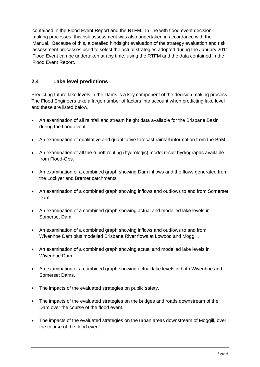contained in the Flood Event Report and the RTFM. In line with flood event decisionmaking processes, this risk assessment was also undertaken in accordance with the Manual. Because of this, a detailed hindsight evaluation of the strategy evaluation and risk assessment processes used to select the actual strategies adopted during the January 2011 Flood Event can be undertaken at any time, using the RTFM and the data contained in the Flood Event Report.

# **2.4 Lake level predictions**

Predicting future lake levels in the Dams is a key component of the decision making process. The Flood Engineers take a large number of factors into account when predicting lake level and these are listed below.

- An examination of all rainfall and stream height data available for the Brisbane Basin during the flood event.
- An examination of qualitative and quantitative forecast rainfall information from the BoM.
- An examination of all the runoff-routing (hydrologic) model result hydrographs available from Flood-Ops.
- An examination of a combined graph showing Dam inflows and the flows generated from the Lockyer and Bremer catchments.
- An examination of a combined graph showing inflows and outflows to and from Somerset Dam.
- An examination of a combined graph showing actual and modelled lake levels in Somerset Dam.
- An examination of a combined graph showing inflows and outflows to and from Wivenhoe Dam plus modelled Brisbane River flows at Lowood and Moggill.
- An examination of a combined graph showing actual and modelled lake levels in Wivenhoe Dam.
- An examination of a combined graph showing actual lake levels in both Wivenhoe and Somerset Dams.
- The impacts of the evaluated strategies on public safety.
- The impacts of the evaluated strategies on the bridges and roads downstream of the Dam over the course of the flood event.
- The impacts of the evaluated strategies on the urban areas downstream of Moggill, over the course of the flood event.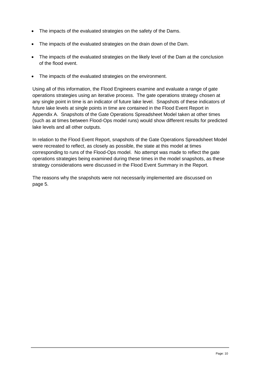- The impacts of the evaluated strategies on the safety of the Dams.
- The impacts of the evaluated strategies on the drain down of the Dam.
- The impacts of the evaluated strategies on the likely level of the Dam at the conclusion of the flood event.
- The impacts of the evaluated strategies on the environment.

Using all of this information, the Flood Engineers examine and evaluate a range of gate operations strategies using an iterative process. The gate operations strategy chosen at any single point in time is an indicator of future lake level. Snapshots of these indicators of future lake levels at single points in time are contained in the Flood Event Report in Appendix A. Snapshots of the Gate Operations Spreadsheet Model taken at other times (such as at times between Flood-Ops model runs) would show different results for predicted lake levels and all other outputs.

In relation to the Flood Event Report, snapshots of the Gate Operations Spreadsheet Model were recreated to reflect, as closely as possible, the state at this model at times corresponding to runs of the Flood-Ops model. No attempt was made to reflect the gate operations strategies being examined during these times in the model snapshots, as these strategy considerations were discussed in the Flood Event Summary in the Report.

The reasons why the snapshots were not necessarily implemented are discussed on page 5.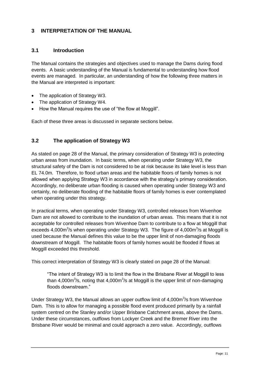# **3 INTERPRETATION OF THE MANUAL**

#### **3.1 Introduction**

The Manual contains the strategies and objectives used to manage the Dams during flood events. A basic understanding of the Manual is fundamental to understanding how flood events are managed. In particular, an understanding of how the following three matters in the Manual are interpreted is important:

- The application of Strategy W3.
- The application of Strategy W4.
- How the Manual requires the use of "the flow at Moggill".

Each of these three areas is discussed in separate sections below.

# **3.2 The application of Strategy W3**

As stated on page 28 of the Manual, the primary consideration of Strategy W3 is protecting urban areas from inundation. In basic terms, when operating under Strategy W3, the structural safety of the Dam is not considered to be at risk because its lake level is less than EL 74.0m. Therefore, to flood urban areas and the habitable floors of family homes is not allowed when applying Strategy W3 in accordance with the strategy"s primary consideration. Accordingly, no deliberate urban flooding is caused when operating under Strategy W3 and certainly, no deliberate flooding of the habitable floors of family homes is ever contemplated when operating under this strategy.

In practical terms, when operating under Strategy W3, controlled releases from Wivenhoe Dam are not allowed to contribute to the inundation of urban areas. This means that it is not acceptable for controlled releases from Wivenhoe Dam to contribute to a flow at Moggill that exceeds 4,000 $\mathrm{m}^3$ /s when operating under Strategy W3. The figure of 4,000 $\mathrm{m}^3$ /s at Moggill is used because the Manual defines this value to be the upper limit of non-damaging floods downstream of Moggill. The habitable floors of family homes would be flooded if flows at Moggill exceeded this threshold.

This correct interpretation of Strategy W3 is clearly stated on page 28 of the Manual:

"The intent of Strategy W3 is to limit the flow in the Brisbane River at Moggill to less than 4,000m<sup>3</sup>/s, noting that 4,000m<sup>3</sup>/s at Moggill is the upper limit of non-damaging floods downstream."

Under Strategy W3, the Manual allows an upper outflow limit of  $4,000m^3/s$  from Wivenhoe Dam. This is to allow for managing a possible flood event produced primarily by a rainfall system centred on the Stanley and/or Upper Brisbane Catchment areas, above the Dams. Under these circumstances, outflows from Lockyer Creek and the Bremer River into the Brisbane River would be minimal and could approach a zero value. Accordingly, outflows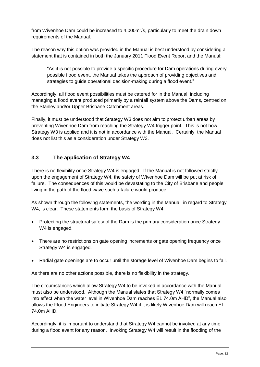from Wivenhoe Dam could be increased to  $4,000m^3/s$ , particularly to meet the drain down requirements of the Manual.

The reason why this option was provided in the Manual is best understood by considering a statement that is contained in both the January 2011 Flood Event Report and the Manual:

"As it is not possible to provide a specific procedure for Dam operations during every possible flood event, the Manual takes the approach of providing objectives and strategies to guide operational decision-making during a flood event."

Accordingly, all flood event possibilities must be catered for in the Manual, including managing a flood event produced primarily by a rainfall system above the Dams, centred on the Stanley and/or Upper Brisbane Catchment areas.

Finally, it must be understood that Strategy W3 does not aim to protect urban areas by preventing Wivenhoe Dam from reaching the Strategy W4 trigger point. This is not how Strategy W3 is applied and it is not in accordance with the Manual. Certainly, the Manual does not list this as a consideration under Strategy W3.

# **3.3 The application of Strategy W4**

There is no flexibility once Strategy W4 is engaged. If the Manual is not followed strictly upon the engagement of Strategy W4, the safety of Wivenhoe Dam will be put at risk of failure. The consequences of this would be devastating to the City of Brisbane and people living in the path of the flood wave such a failure would produce.

As shown through the following statements, the wording in the Manual, in regard to Strategy W4, is clear. These statements form the basis of Strategy W4:

- Protecting the structural safety of the Dam is the primary consideration once Strategy W4 is engaged.
- There are no restrictions on gate opening increments or gate opening frequency once Strategy W4 is engaged.
- Radial gate openings are to occur until the storage level of Wivenhoe Dam begins to fall.

As there are no other actions possible, there is no flexibility in the strategy.

The circumstances which allow Strategy W4 to be invoked in accordance with the Manual, must also be understood. Although the Manual states that Strategy W4 "normally comes into effect when the water level in Wivenhoe Dam reaches EL 74.0m AHD", the Manual also allows the Flood Engineers to initiate Strategy W4 if it is likely Wivenhoe Dam will reach EL 74.0m AHD.

Accordingly, it is important to understand that Strategy W4 cannot be invoked at any time during a flood event for any reason. Invoking Strategy W4 will result in the flooding of the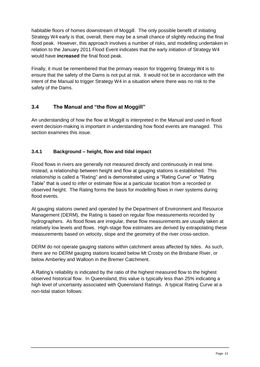habitable floors of homes downstream of Moggill. The only possible benefit of initiating Strategy W4 early is that, overall, there may be a small chance of slightly reducing the final flood peak. However, this approach involves a number of risks, and modelling undertaken in relation to the January 2011 Flood Event indicates that the early initiation of Strategy W4 would have **increased** the final flood peak.

Finally, it must be remembered that the primary reason for triggering Strategy W4 is to ensure that the safety of the Dams is not put at risk. It would not be in accordance with the intent of the Manual to trigger Strategy W4 in a situation where there was no risk to the safety of the Dams.

# **3.4 The Manual and "the flow at Moggill"**

An understanding of how the flow at Moggill is interpreted in the Manual and used in flood event decision-making is important in understanding how flood events are managed. This section examines this issue.

#### **3.4.1 Background – height, flow and tidal impact**

Flood flows in rivers are generally not measured directly and continuously in real time. Instead, a relationship between height and flow at gauging stations is established. This relationship is called a "Rating" and is demonstrated using a "Rating Curve" or "Rating Table" that is used to infer or estimate flow at a particular location from a recorded or observed height. The Rating forms the basis for modelling flows in river systems during flood events.

At gauging stations owned and operated by the Department of Environment and Resource Management (DERM), the Rating is based on regular flow measurements recorded by hydrographers. As flood flows are irregular, these flow measurements are usually taken at relatively low levels and flows. High-stage flow estimates are derived by extrapolating these measurements based on velocity, slope and the geometry of the river cross-section.

DERM do not operate gauging stations within catchment areas affected by tides. As such, there are no DERM gauging stations located below Mt Crosby on the Brisbane River, or below Amberley and Walloon in the Bremer Catchment.

A Rating"s reliability is indicated by the ratio of the highest measured flow to the highest observed historical flow. In Queensland, this value is typically less than 25% indicating a high level of uncertainty associated with Queensland Ratings. A typical Rating Curve at a non-tidal station follows: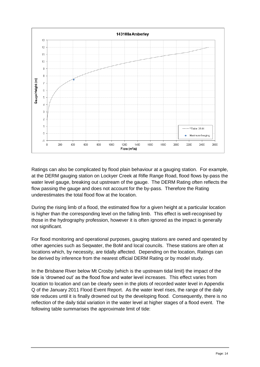

Ratings can also be complicated by flood plain behaviour at a gauging station. For example, at the DERM gauging station on Lockyer Creek at Rifle Range Road, flood flows by-pass the water level gauge, breaking out upstream of the gauge. The DERM Rating often reflects the flow passing the gauge and does not account for the by-pass. Therefore the Rating underestimates the total flood flow at the location.

During the rising limb of a flood, the estimated flow for a given height at a particular location is higher than the corresponding level on the falling limb. This effect is well-recognised by those in the hydrography profession, however it is often ignored as the impact is generally not significant.

For flood monitoring and operational purposes, gauging stations are owned and operated by other agencies such as Seqwater, the BoM and local councils. These stations are often at locations which, by necessity, are tidally affected. Depending on the location, Ratings can be derived by inference from the nearest official DERM Rating or by model study.

In the Brisbane River below Mt Crosby (which is the upstream tidal limit) the impact of the tide is "drowned out" as the flood flow and water level increases. This effect varies from location to location and can be clearly seen in the plots of recorded water level in Appendix Q of the January 2011 Flood Event Report. As the water level rises, the range of the daily tide reduces until it is finally drowned out by the developing flood. Consequently, there is no reflection of the daily tidal variation in the water level at higher stages of a flood event. The following table summarises the approximate limit of tide: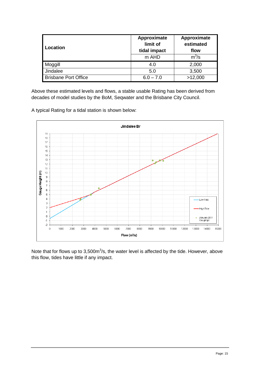| Location                    | Approximate<br>limit of<br>tidal impact<br>m AHD | Approximate<br>estimated<br>flow<br>$m^3$ /s |  |
|-----------------------------|--------------------------------------------------|----------------------------------------------|--|
| Moggill                     | 4.0                                              | 2,000                                        |  |
| Jindalee                    | 5.0                                              | 3,500                                        |  |
| <b>Brisbane Port Office</b> | $6.0 - 7.0$                                      | >12,000                                      |  |

Above these estimated levels and flows, a stable usable Rating has been derived from decades of model studies by the BoM, Seqwater and the Brisbane City Council.

A typical Rating for a tidal station is shown below:



Note that for flows up to  $3,500m^3/s$ , the water level is affected by the tide. However, above this flow, tides have little if any impact.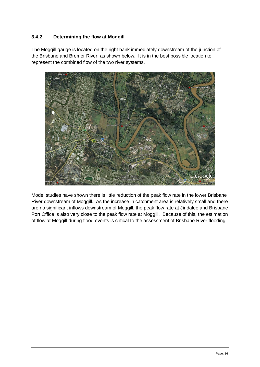# **3.4.2 Determining the flow at Moggill**

The Moggill gauge is located on the right bank immediately downstream of the junction of the Brisbane and Bremer River, as shown below. It is in the best possible location to represent the combined flow of the two river systems.



Model studies have shown there is little reduction of the peak flow rate in the lower Brisbane River downstream of Moggill. As the increase in catchment area is relatively small and there are no significant inflows downstream of Moggill, the peak flow rate at Jindalee and Brisbane Port Office is also very close to the peak flow rate at Moggill. Because of this, the estimation of flow at Moggill during flood events is critical to the assessment of Brisbane River flooding.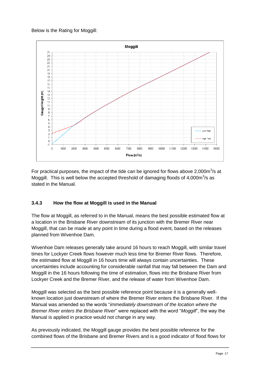#### Below is the Rating for Moggill:



For practical purposes, the impact of the tide can be ignored for flows above 2,000 $m^3/s$  at Moggill. This is well below the accepted threshold of damaging floods of  $4,000m^3/s$  as stated in the Manual.

# **3.4.3 How the flow at Moggill is used in the Manual**

The flow at Moggill, as referred to in the Manual, means the best possible estimated flow at a location in the Brisbane River downstream of its junction with the Bremer River near Moggill, that can be made at any point in time during a flood event, based on the releases planned from Wivenhoe Dam.

Wivenhoe Dam releases generally take around 16 hours to reach Moggill, with similar travel times for Lockyer Creek flows however much less time for Bremer River flows. Therefore, the estimated flow at Moggill in 16 hours time will always contain uncertainties. These uncertainties include accounting for considerable rainfall that may fall between the Dam and Moggill in the 16 hours following the time of estimation, flows into the Brisbane River from Lockyer Creek and the Bremer River, and the release of water from Wivenhoe Dam.

Moggill was selected as the best possible reference point because it is a generally wellknown location just downstream of where the Bremer River enters the Brisbane River. If the Manual was amended so the words "*immediately downstream of the location where the Bremer River enters the Brisbane River*" were replaced with the word "*Moggill*", the way the Manual is applied in practice would not change in any way.

As previously indicated, the Moggill gauge provides the best possible reference for the combined flows of the Brisbane and Bremer Rivers and is a good indicator of flood flows for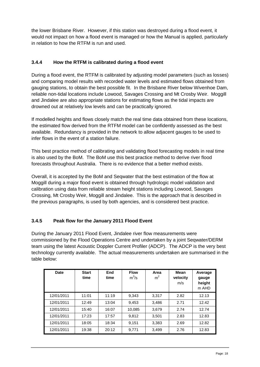the lower Brisbane River. However, if this station was destroyed during a flood event, it would not impact on how a flood event is managed or how the Manual is applied, particularly in relation to how the RTFM is run and used.

#### **3.4.4 How the RTFM is calibrated during a flood event**

During a flood event, the RTFM is calibrated by adjusting model parameters (such as losses) and comparing model results with recorded water levels and estimated flows obtained from gauging stations, to obtain the best possible fit. In the Brisbane River below Wivenhoe Dam, reliable non-tidal locations include Lowood, Savages Crossing and Mt Crosby Weir. Moggill and Jindalee are also appropriate stations for estimating flows as the tidal impacts are drowned out at relatively low levels and can be practically ignored.

If modelled heights and flows closely match the real time data obtained from these locations, the estimated flow derived from the RTFM model can be confidently assessed as the best available. Redundancy is provided in the network to allow adjacent gauges to be used to infer flows in the event of a station failure.

This best practice method of calibrating and validating flood forecasting models in real time is also used by the BoM. The BoM use this best practice method to derive river flood forecasts throughout Australia. There is no evidence that a better method exists.

Overall, it is accepted by the BoM and Seqwater that the best estimation of the flow at Moggill during a major flood event is obtained through hydrologic model validation and calibration using data from reliable stream height stations including Lowood, Savages Crossing, Mt Crosby Weir, Moggill and Jindalee. This is the approach that is described in the previous paragraphs, is used by both agencies, and is considered best practice.

# **3.4.5 Peak flow for the January 2011 Flood Event**

During the January 2011 Flood Event, Jindalee river flow measurements were commissioned by the Flood Operations Centre and undertaken by a joint Seqwater/DERM team using the latest Acoustic Doppler Current Profiler (ADCP). The ADCP is the very best technology currently available. The actual measurements undertaken are summarised in the table below:

| Date       | <b>Start</b><br>time | End<br>time | <b>Flow</b><br>$m^3/s$ | Area<br>m <sup>2</sup> | Mean<br>velocity<br>m/s | Average<br>gauge<br>height<br>m AHD |
|------------|----------------------|-------------|------------------------|------------------------|-------------------------|-------------------------------------|
| 12/01/2011 | 11:01                | 11:19       | 9,343                  | 3,317                  | 2.82                    | 12.13                               |
| 12/01/2011 | 12:49                | 13:04       | 9,453                  | 3,486                  | 2.71                    | 12.42                               |
| 12/01/2011 | 15:40                | 16:07       | 10,085                 | 3.679                  | 2.74                    | 12.74                               |
| 12/01/2011 | 17:23                | 17:57       | 9,812                  | 3.501                  | 2.83                    | 12.83                               |
| 12/01/2011 | 18:05                | 18:34       | 9,151                  | 3,383                  | 2.69                    | 12.82                               |
| 12/01/2011 | 19:38                | 20:12       | 9,771                  | 3,499                  | 2.76                    | 12.83                               |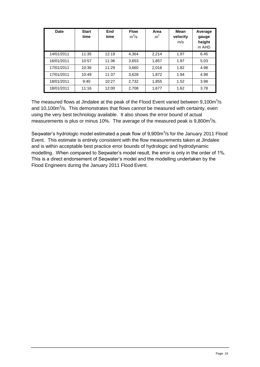| Date       | <b>Start</b><br>time | End<br>time | <b>Flow</b><br>$m^3/s$ | Area<br>m <sup>2</sup> | Mean<br>velocity<br>m/s | Average<br>gauge<br>height<br>m AHD |
|------------|----------------------|-------------|------------------------|------------------------|-------------------------|-------------------------------------|
| 14/01/2011 | 11:35                | 12:19       | 4,364                  | 2,214                  | 1.97                    | 6.45                                |
| 16/01/2011 | 10:57                | 11:36       | 3,653                  | 1,857                  | 1.97                    | 5.03                                |
| 17/01/2011 | 10:36                | 11:29       | 3,660                  | 2,016                  | 1.82                    | 4.98                                |
| 17/01/2011 | 10:49                | 11:37       | 3,628                  | 1,872                  | 1.94                    | 4.98                                |
| 18/01/2011 | 9:40                 | 10:27       | 2,732                  | 1,855                  | 1.52                    | 3.98                                |
| 18/01/2011 | 11:16                | 12:00       | 2,708                  | 1,677                  | 1.62                    | 3.78                                |

The measured flows at Jindalee at the peak of the Flood Event varied between  $9,100m^3/s$ and  $10,100m<sup>3</sup>/s$ . This demonstrates that flows cannot be measured with certainty, even using the very best technology available. It also shows the error bound of actual measurements is plus or minus 10%. The average of the measured peak is 9,800m $3$ /s.

Seqwater's hydrologic model estimated a peak flow of 9,900m<sup>3</sup>/s for the January 2011 Flood Event. This estimate is entirely consistent with the flow measurements taken at Jindalee and is within acceptable best practice error bounds of hydrologic and hydrodynamic modelling. When compared to Seqwater's model result, the error is only in the order of 1%. This is a direct endorsement of Seqwater"s model and the modelling undertaken by the Flood Engineers during the January 2011 Flood Event.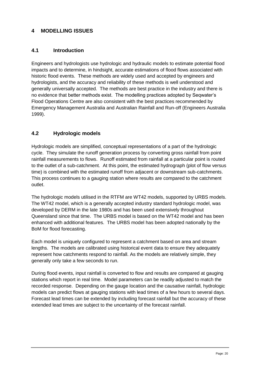# **4 MODELLING ISSUES**

#### **4.1 Introduction**

Engineers and hydrologists use hydrologic and hydraulic models to estimate potential flood impacts and to determine, in hindsight, accurate estimations of flood flows associated with historic flood events. These methods are widely used and accepted by engineers and hydrologists, and the accuracy and reliability of these methods is well understood and generally universally accepted. The methods are best practice in the industry and there is no evidence that better methods exist. The modelling practices adopted by Seqwater"s Flood Operations Centre are also consistent with the best practices recommended by Emergency Management Australia and Australian Rainfall and Run-off (Engineers Australia 1999).

# **4.2 Hydrologic models**

Hydrologic models are simplified, conceptual representations of a part of the hydrologic cycle. They simulate the runoff generation process by converting gross rainfall from point rainfall measurements to flows. Runoff estimated from rainfall at a particular point is routed to the outlet of a sub-catchment. At this point, the estimated hydrograph (plot of flow versus time) is combined with the estimated runoff from adjacent or downstream sub-catchments. This process continues to a gauging station where results are compared to the catchment outlet.

The hydrologic models utilised in the RTFM are WT42 models, supported by URBS models. The WT42 model, which is a generally accepted industry standard hydrologic model, was developed by DERM in the late 1980s and has been used extensively throughout Queensland since that time. The URBS model is based on the WT42 model and has been enhanced with additional features. The URBS model has been adopted nationally by the BoM for flood forecasting.

Each model is uniquely configured to represent a catchment based on area and stream lengths. The models are calibrated using historical event data to ensure they adequately represent how catchments respond to rainfall. As the models are relatively simple, they generally only take a few seconds to run.

During flood events, input rainfall is converted to flow and results are compared at gauging stations which report in real time. Model parameters can be readily adjusted to match the recorded response. Depending on the gauge location and the causative rainfall, hydrologic models can predict flows at gauging stations with lead times of a few hours to several days. Forecast lead times can be extended by including forecast rainfall but the accuracy of these extended lead times are subject to the uncertainty of the forecast rainfall.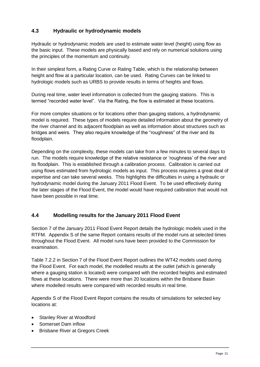# **4.3 Hydraulic or hydrodynamic models**

Hydraulic or hydrodynamic models are used to estimate water level (height) using flow as the basic input. These models are physically based and rely on numerical solutions using the principles of the momentum and continuity.

In their simplest form, a Rating Curve or Rating Table, which is the relationship between height and flow at a particular location, can be used. Rating Curves can be linked to hydrologic models such as URBS to provide results in terms of heights and flows.

During real time, water level information is collected from the gauging stations. This is termed "recorded water level". Via the Rating, the flow is estimated at these locations.

For more complex situations or for locations other than gauging stations, a hydrodynamic model is required. These types of models require detailed information about the geometry of the river channel and its adjacent floodplain as well as information about structures such as bridges and weirs. They also require knowledge of the "roughness" of the river and its floodplain.

Depending on the complexity, these models can take from a few minutes to several days to run. The models require knowledge of the relative resistance or "roughness" of the river and its floodplain. This is established through a calibration process. Calibration is carried out using flows estimated from hydrologic models as input. This process requires a great deal of expertise and can take several weeks. This highlights the difficulties in using a hydraulic or hydrodynamic model during the January 2011 Flood Event. To be used effectively during the later stages of the Flood Event, the model would have required calibration that would not have been possible in real time.

# **4.4 Modelling results for the January 2011 Flood Event**

Section 7 of the January 2011 Flood Event Report details the hydrologic models used in the RTFM. Appendix S of the same Report contains results of the model runs at selected times throughout the Flood Event. All model runs have been provided to the Commission for examination.

Table 7.2.2 in Section 7 of the Flood Event Report outlines the WT42 models used during the Flood Event. For each model, the modelled results at the outlet (which is generally where a gauging station is located) were compared with the recorded heights and estimated flows at these locations. There were more than 20 locations within the Brisbane Basin where modelled results were compared with recorded results in real time.

Appendix S of the Flood Event Report contains the results of simulations for selected key locations at:

- Stanley River at Woodford
- Somerset Dam inflow
- Brisbane River at Gregors Creek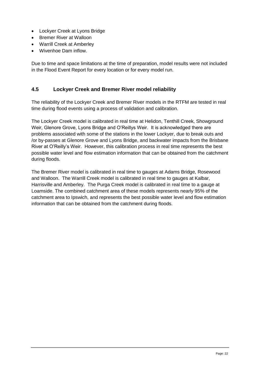- Lockyer Creek at Lyons Bridge
- Bremer River at Walloon
- Warrill Creek at Amberley
- Wivenhoe Dam inflow.

Due to time and space limitations at the time of preparation, model results were not included in the Flood Event Report for every location or for every model run.

#### **4.5 Lockyer Creek and Bremer River model reliability**

The reliability of the Lockyer Creek and Bremer River models in the RTFM are tested in real time during flood events using a process of validation and calibration.

The Lockyer Creek model is calibrated in real time at Helidon, Tenthill Creek, Showground Weir, Glenore Grove, Lyons Bridge and O"Reillys Weir. It is acknowledged there are problems associated with some of the stations in the lower Lockyer, due to break outs and /or by-passes at Glenore Grove and Lyons Bridge, and backwater impacts from the Brisbane River at O"Reilly"s Weir. However, this calibration process in real time represents the best possible water level and flow estimation information that can be obtained from the catchment during floods.

The Bremer River model is calibrated in real time to gauges at Adams Bridge, Rosewood and Walloon. The Warrill Creek model is calibrated in real time to gauges at Kalbar, Harrisville and Amberley. The Purga Creek model is calibrated in real time to a gauge at Loamside. The combined catchment area of these models represents nearly 95% of the catchment area to Ipswich, and represents the best possible water level and flow estimation information that can be obtained from the catchment during floods.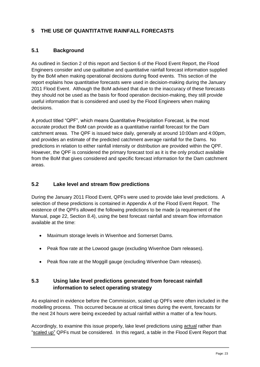# **5 THE USE OF QUANTITATIVE RAINFALL FORECASTS**

#### **5.1 Background**

As outlined in Section 2 of this report and Section 6 of the Flood Event Report, the Flood Engineers consider and use qualitative and quantitative rainfall forecast information supplied by the BoM when making operational decisions during flood events. This section of the report explains how quantitative forecasts were used in decision-making during the January 2011 Flood Event. Although the BoM advised that due to the inaccuracy of these forecasts they should not be used as the basis for flood operation decision-making, they still provide useful information that is considered and used by the Flood Engineers when making decisions.

A product titled "QPF", which means Quantitative Precipitation Forecast, is the most accurate product the BoM can provide as a quantitative rainfall forecast for the Dam catchment areas. The QPF is issued twice daily, generally at around 10:00am and 4:00pm, and provides an estimate of the predicted catchment average rainfall for the Dams. No predictions in relation to either rainfall intensity or distribution are provided within the QPF. However, the QPF is considered the primary forecast tool as it is the only product available from the BoM that gives considered and specific forecast information for the Dam catchment areas.

#### **5.2 Lake level and stream flow predictions**

During the January 2011 Flood Event, QPFs were used to provide lake level predictions. A selection of these predictions is contained in Appendix A of the Flood Event Report. The existence of the QPFs allowed the following predictions to be made (a requirement of the Manual, page 22, Section 8.4), using the best forecast rainfall and stream flow information available at the time:

- Maximum storage levels in Wivenhoe and Somerset Dams.
- Peak flow rate at the Lowood gauge (excluding Wivenhoe Dam releases).
- Peak flow rate at the Moggill gauge (excluding Wivenhoe Dam releases).

# **5.3 Using lake level predictions generated from forecast rainfall information to select operating strategy**

As explained in evidence before the Commission, scaled up QPFs were often included in the modelling process. This occurred because at critical times during the event, forecasts for the next 24 hours were being exceeded by actual rainfall within a matter of a few hours.

Accordingly, to examine this issue properly, lake level predictions using actual rather than "scaled up" QPFs must be considered. In this regard, a table in the Flood Event Report that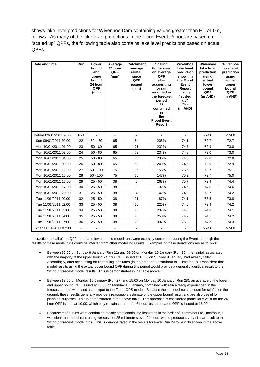shows lake level predictions for Wivenhoe Dam containing values greater than EL 74.0m, follows. As many of the lake level predictions in the Flood Event Report are based on "scaled up" QPFs, the following table also contains lake level predictions based on actual QPFs.

| Date and time           | <b>Run</b> | Lower<br>bound<br>and<br>upper<br>bound<br>24 hour<br>QPF<br>(mm) | Average<br>24 hour<br>QPF<br>(mm) | <b>Catchment</b><br>average<br>rainfall<br>since<br>QPF<br>issued<br>(mm) | <b>Scaling</b><br><b>Factor used</b><br>on average<br>QPF<br>after<br>accounting<br>for rain<br>recorded in<br>the forecast<br>period<br><b>as</b><br>contained<br>in<br>the<br><b>Flood Event</b><br>Report | Wivenhoe<br>lake level<br>prediction<br>shown in<br>the Flood<br>Event<br>Report<br>using<br>"scaled<br>up"<br>QPF<br>(m AHD) | Wivenhoe<br>lake level<br>prediction<br>using<br>actual<br>lower<br>bound<br>QPF<br>(m AHD) | Wivenhoe<br>lake level<br>prediction<br>using<br>actual<br>upper<br>bound<br>QPF<br>(m AHD) |
|-------------------------|------------|-------------------------------------------------------------------|-----------------------------------|---------------------------------------------------------------------------|--------------------------------------------------------------------------------------------------------------------------------------------------------------------------------------------------------------|-------------------------------------------------------------------------------------------------------------------------------|---------------------------------------------------------------------------------------------|---------------------------------------------------------------------------------------------|
| Before 09/01/2011 20:00 | $1 - 21$   | $\blacksquare$                                                    | $\mathbf{r}$                      | $\blacksquare$                                                            | ä,                                                                                                                                                                                                           | $\mathbf{r}$                                                                                                                  | <74.0                                                                                       | <74.0                                                                                       |
| Sun 09/01/2011 20:00    | 22         | $50 - 80$                                                         | 65                                | 54                                                                        | 206%                                                                                                                                                                                                         | 74.1                                                                                                                          | 72.7                                                                                        | 72.7                                                                                        |
| Mon 10/01/2011 01:00    | 23         | $50 - 80$                                                         | 65                                | 71                                                                        | 232%                                                                                                                                                                                                         | 74.7                                                                                                                          | 72.9                                                                                        | 73.0                                                                                        |
| Mon 10/01/2011 03:00    | 24         | $50 - 80$                                                         | 65                                | 72                                                                        | 234%                                                                                                                                                                                                         | 74.8                                                                                                                          | 73.0                                                                                        | 73.0                                                                                        |
| Mon 10/01/2011 04:00    | 25         | $50 - 80$                                                         | 65                                | 73                                                                        | 235%                                                                                                                                                                                                         | 74.5                                                                                                                          | 72.8                                                                                        | 72.8                                                                                        |
| Mon 10/01/2011 09:00    | 26         | $50 - 80$                                                         | 65                                | 82                                                                        | 249%                                                                                                                                                                                                         | 74.5                                                                                                                          | 72.9                                                                                        | 72.9                                                                                        |
| Mon 10/01/2011 12:00    | 27         | $50 - 100$                                                        | 75                                | 16                                                                        | 155%                                                                                                                                                                                                         | 75.6                                                                                                                          | 73.7                                                                                        | 75.1                                                                                        |
| Mon 10/01/2011 15:00    | 28         | $50 - 100$                                                        | 75                                | 30                                                                        | 147%                                                                                                                                                                                                         | 75.2                                                                                                                          | 73.7                                                                                        | 75.0                                                                                        |
| Mon 10/01/2011 16:00    | 29         | $25 - 50$                                                         | 38                                | $\Omega$                                                                  | 263%                                                                                                                                                                                                         | 75.7                                                                                                                          | 73.9                                                                                        | 74.4                                                                                        |
| Mon 10/01/2011 17:00    | 30         | $25 - 50$                                                         | 38                                | 0                                                                         | 132%                                                                                                                                                                                                         | 74.6                                                                                                                          | 74.0                                                                                        | 74.6                                                                                        |
| Mon 10/01/2011 20:00    | 31         | $25 - 50$                                                         | 38                                | $\overline{4}$                                                            | 142%                                                                                                                                                                                                         | 74.3                                                                                                                          | 73.7                                                                                        | 74.2                                                                                        |
| Tue 11/01/2011 00:00    | 32         | $25 - 50$                                                         | 38                                | 21                                                                        | 187%                                                                                                                                                                                                         | 74.1                                                                                                                          | 73.5                                                                                        | 73.8                                                                                        |
| Tue 11/01/2011 02:00    | 33         | $25 - 50$                                                         | 38                                | 36                                                                        | 226%                                                                                                                                                                                                         | 74.6                                                                                                                          | 73.9                                                                                        | 74.2                                                                                        |
| Tue 11/01/2011 03:00    | 34         | $25 - 50$                                                         | 38                                | 40                                                                        | 237%                                                                                                                                                                                                         | 74.8                                                                                                                          | 74.0                                                                                        | 74.1                                                                                        |
| Tue 11/01/2011 04:00    | 35         | $25 - 50$                                                         | 38                                | 48                                                                        | 258%                                                                                                                                                                                                         | 74.9                                                                                                                          | 74.1                                                                                        | 74.2                                                                                        |
| Tue 11/01/2011 07:00    | 36         | $25 - 50$                                                         | 38                                | 78                                                                        | 337%                                                                                                                                                                                                         | 76.2                                                                                                                          | 74.3                                                                                        | 74.3                                                                                        |
| After 11/01/2011 07:00  | $\sim$     | $\blacksquare$                                                    | $\sim$                            | $\blacksquare$                                                            | ۰                                                                                                                                                                                                            | $\sim$                                                                                                                        | >74.0                                                                                       | >74.0                                                                                       |

In practice, not all of the QPF upper and lower bound model runs were explicitly completed during the Event, although the results of these model runs could be inferred from other modelling results. Examples of these derivations are as follows:

- Between 20:00 on Sunday 9 January (Run 22) and 09:00 on Monday 10 January (Run 26), the rainfall associated with the majority of the upper bound 24 hour QPF issued at 16:00 on Sunday 9 January, had already fallen. Accordingly, after accounting for continuing loss rates (in the order of 0.5mm/hour to 1.0mm/hour), it was clear that model results using the actual upper bound QPF during this period would provide a generally identical result to the "without forecast" model results. This is demonstrated in the table above.
- Between 12:00 on Monday 10 January (Run 27) and 15:00 on Monday 10 January (Run 28), an average of the lower and upper bound QPF issued at 10:00 on Monday 10 January, combined with rain already experienced in the forecast period, was used as an input to the Flood-OPS model. Because these model runs account for rainfall on the ground, these results generally provide a reasonable estimate of the upper bound result and are also useful for planning purposes. This is demonstrated in the above table. This approach is considered particularly valid for the 24 hour QPF issued at 10:00, which only remains current for 6 hours as an updated QPF is issued at 16:00.
- Because model runs were confirming steady state continuing loss rates in the order of 0.5mm/hour to 1mm/hour, it was clear that model runs using forecasts of 25 millimetres over 24 hours would produce a very similar result to the "without forecast" model runs. This is demonstrated in the results for lower Run 29 to Run 36 shown in the above table.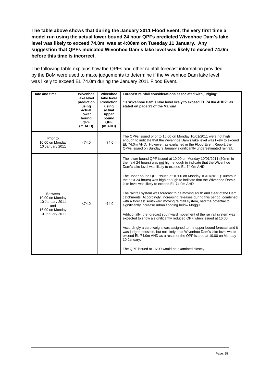**The table above shows that during the January 2011 Flood Event, the very first time a model run using the actual lower bound 24 hour QPFs predicted Wivenhoe Dam's lake level was likely to exceed 74.0m, was at 4:00am on Tuesday 11 January. Any suggestion that QPFs indicated Wivenhoe Dam's lake level was likely to exceed 74.0m before this time is incorrect.**

The following table explains how the QPFs and other rainfall forecast information provided by the BoM were used to make judgements to determine if the Wivenhoe Dam lake level was likely to exceed EL 74.0m during the January 2011 Flood Event.

| Date and time                                                                                     | Wivenhoe<br>lake level<br>prediction<br>using<br>actual<br>lower<br>bound<br><b>QPF</b><br>(m AHD) | Wivenhoe<br>lake level<br><b>Prediction</b><br>using<br>actual<br>upper<br>bound<br><b>QPF</b><br>(m AHD) | Forecast rainfall considerations associated with judging:<br>"Is Wivenhoe Dam's lake level likely to exceed EL 74.0m AHD?" as<br>stated on page 23 of the Manual.                                                                                                                                                                                                                                                                                                                                                                                                                                                                                                                                                                                                                                                                                                                                                                                                                                                                                                                                                                                     |
|---------------------------------------------------------------------------------------------------|----------------------------------------------------------------------------------------------------|-----------------------------------------------------------------------------------------------------------|-------------------------------------------------------------------------------------------------------------------------------------------------------------------------------------------------------------------------------------------------------------------------------------------------------------------------------------------------------------------------------------------------------------------------------------------------------------------------------------------------------------------------------------------------------------------------------------------------------------------------------------------------------------------------------------------------------------------------------------------------------------------------------------------------------------------------------------------------------------------------------------------------------------------------------------------------------------------------------------------------------------------------------------------------------------------------------------------------------------------------------------------------------|
| Prior to<br>10:00 on Monday<br>10 January 2011                                                    | <74.0                                                                                              | <74.0                                                                                                     | The QPFs issued prior to 10:00 on Monday 10/01/2011 were not high<br>enough to indicate that the Wivenhoe Dam's lake level was likely to exceed<br>EL 74.0m AHD. However, as explained in the Flood Event Report, the<br>QPFs issued on Sunday 9 January significantly underestimated rainfall.                                                                                                                                                                                                                                                                                                                                                                                                                                                                                                                                                                                                                                                                                                                                                                                                                                                       |
| <b>Between</b><br>10:00 on Monday<br>10 January 2011<br>and<br>16:00 on Monday<br>10 January 2011 | <74.0                                                                                              | >74.0                                                                                                     | The lower bound QPF issued at 10:00 on Monday 10/01/2011 (50mm in<br>the next 24 hours) was not high enough to indicate that the Wivenhoe<br>Dam's lake level was likely to exceed EL 74.0m AHD.<br>The upper bound QPF issued at 10:00 on Monday 10/01/2011 (100mm in<br>the next 24 hours) was high enough to indicate that the Wivenhoe Dam's<br>lake level was likely to exceed EL 74.0m AHD.<br>The rainfall system was forecast to be moving south and clear of the Dam<br>catchments. Accordingly, increasing releases during this period, combined<br>with a forecast southward moving rainfall system, had the potential to<br>significantly increase urban flooding below Moggill.<br>Additionally, the forecast southward movement of the rainfall system was<br>expected to show a significantly reduced QPF when issued at 16:00.<br>Accordingly a zero weight was assigned to the upper bound forecast and it<br>was judged possible, but not likely, that Wivenhoe Dam's lake level would<br>exceed EL 74.0m AHD as a result of the QPF issued at 10:00 on Monday<br>10 January.<br>The QPF issued at 16:00 would be examined closely. |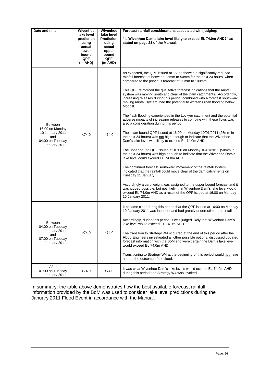| Date and time                                                                                       | Wivenhoe                                                                        | Wivenhoe                                                                                      | Forecast rainfall considerations associated with judging:                                                                                                                                                                                                                                                                                                                                                                                                                                                                                                                                                                                                                                                                                                                                                                                                                                                                                                                                                             |
|-----------------------------------------------------------------------------------------------------|---------------------------------------------------------------------------------|-----------------------------------------------------------------------------------------------|-----------------------------------------------------------------------------------------------------------------------------------------------------------------------------------------------------------------------------------------------------------------------------------------------------------------------------------------------------------------------------------------------------------------------------------------------------------------------------------------------------------------------------------------------------------------------------------------------------------------------------------------------------------------------------------------------------------------------------------------------------------------------------------------------------------------------------------------------------------------------------------------------------------------------------------------------------------------------------------------------------------------------|
|                                                                                                     | lake level<br>prediction<br>using<br>actual<br>lower<br>bound<br>QPF<br>(m AHD) | lake level<br><b>Prediction</b><br>using<br>actual<br>upper<br>bound<br><b>QPF</b><br>(m AHD) | "Is Wivenhoe Dam's lake level likely to exceed EL 74.0m AHD?" as<br>stated on page 23 of the Manual.                                                                                                                                                                                                                                                                                                                                                                                                                                                                                                                                                                                                                                                                                                                                                                                                                                                                                                                  |
|                                                                                                     | <74.0                                                                           | >74.0                                                                                         | As expected, the QPF issued at 16:00 showed a significantly reduced<br>rainfall forecast of between 25mm to 50mm for the next 24 hours, when<br>compared to the previous forecast of 50mm to 100mm.<br>This QPF reinforced the qualitative forecast indications that the rainfall<br>system was moving south and clear of the Dam catchments. Accordingly,<br>increasing releases during this period, combined with a forecast southward<br>moving rainfall system, had the potential to worsen urban flooding below<br>Moggill.                                                                                                                                                                                                                                                                                                                                                                                                                                                                                      |
| <b>Between</b><br>16:00 on Monday<br>10 January 2011<br>and<br>04:00 on Tuesday<br>11 January 2011  |                                                                                 |                                                                                               | The flash flooding experienced in the Lockyer catchment and the potential<br>adverse impacts of increasing releases to combine with these flows was<br>also a consideration during this period.<br>The lower bound QPF issued at 16:00 on Monday 10/01/2011 (25mm in<br>the next 24 hours) was not high enough to indicate that the Wivenhoe<br>Dam's lake level was likely to exceed EL 74.0m AHD.<br>The upper bound QPF issued at 10:00 on Monday 10/01/2011 (50mm in<br>the next 24 hours) was high enough to indicate that the Wivenhoe Dam's<br>lake level could exceed EL 74.0m AHD.<br>The continued forecast southward movement of the rainfall system<br>indicated that the rainfall could move clear of the dam catchments on<br>Tuesday 11 January.<br>Accordingly a zero weight was assigned to the upper bound forecast and it<br>was judged possible, but not likely, that Wivenhoe Dam's lake level would<br>exceed EL 74.0m AHD as a result of the QPF issued at 16:00 on Monday<br>10 January 2011. |
| <b>Between</b><br>04:00 on Tuesday<br>11 January 2011<br>and<br>07:00 on Tuesday<br>11 January 2011 | >74.0                                                                           | >74.0                                                                                         | It became clear during this period that the QPF issued at 16:00 on Monday<br>10 January 2011 was incorrect and had greatly underestimated rainfall.<br>Accordingly, during this period, it was judged likely that Wivenhoe Dam's<br>lake level would exceed EL 74.0m AHD.<br>The transition to Strategy W4 occurred at the end of this period after the<br>Flood Engineers investigated all other possible options, discussed updated<br>forecast information with the BoM and were certain the Dam's lake level<br>would exceed EL 74.0m AHD.<br>Transitioning to Strategy W4 at the beginning of this period would not have<br>altered the outcome of the flood.                                                                                                                                                                                                                                                                                                                                                    |
| After<br>07:00 on Tuesday<br>11 January 2011                                                        | >74.0                                                                           | >74.0                                                                                         | It was clear Wivenhoe Dam's lake levels would exceed EL 74.0m AHD<br>during this period and Strategy W4 was invoked.                                                                                                                                                                                                                                                                                                                                                                                                                                                                                                                                                                                                                                                                                                                                                                                                                                                                                                  |

In summary, the table above demonstrates how the best available forecast rainfall information provided by the BoM was used to consider lake level predictions during the January 2011 Flood Event in accordance with the Manual.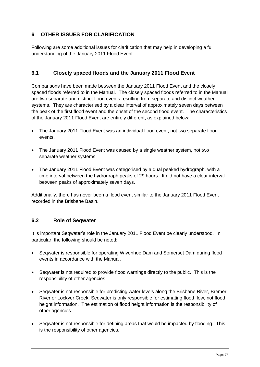# **6 OTHER ISSUES FOR CLARIFICATION**

Following are some additional issues for clarification that may help in developing a full understanding of the January 2011 Flood Event.

# **6.1 Closely spaced floods and the January 2011 Flood Event**

Comparisons have been made between the January 2011 Flood Event and the closely spaced floods referred to in the Manual. The closely spaced floods referred to in the Manual are two separate and distinct flood events resulting from separate and distinct weather systems. They are characterised by a clear interval of approximately seven days between the peak of the first flood event and the onset of the second flood event. The characteristics of the January 2011 Flood Event are entirely different, as explained below:

- The January 2011 Flood Event was an individual flood event, not two separate flood events.
- The January 2011 Flood Event was caused by a single weather system, not two separate weather systems.
- The January 2011 Flood Event was categorised by a dual peaked hydrograph, with a time interval between the hydrograph peaks of 29 hours. It did not have a clear interval between peaks of approximately seven days.

Additionally, there has never been a flood event similar to the January 2011 Flood Event recorded in the Brisbane Basin.

#### **6.2 Role of Seqwater**

It is important Seqwater"s role in the January 2011 Flood Event be clearly understood. In particular, the following should be noted:

- Seqwater is responsible for operating Wivenhoe Dam and Somerset Dam during flood events in accordance with the Manual.
- Seqwater is not required to provide flood warnings directly to the public. This is the responsibility of other agencies.
- Seqwater is not responsible for predicting water levels along the Brisbane River, Bremer River or Lockyer Creek. Seqwater is only responsible for estimating flood flow, not flood height information. The estimation of flood height information is the responsibility of other agencies.
- Seqwater is not responsible for defining areas that would be impacted by flooding. This is the responsibility of other agencies.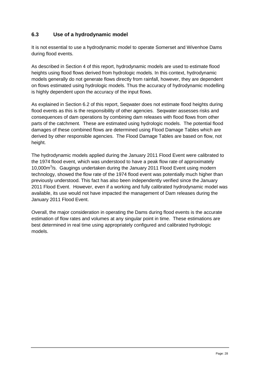# **6.3 Use of a hydrodynamic model**

It is not essential to use a hydrodynamic model to operate Somerset and Wivenhoe Dams during flood events.

As described in Section 4 of this report, hydrodynamic models are used to estimate flood heights using flood flows derived from hydrologic models. In this context, hydrodynamic models generally do not generate flows directly from rainfall, however, they are dependent on flows estimated using hydrologic models. Thus the accuracy of hydrodynamic modelling is highly dependent upon the accuracy of the input flows.

As explained in Section 6.2 of this report, Seqwater does not estimate flood heights during flood events as this is the responsibility of other agencies. Seqwater assesses risks and consequences of dam operations by combining dam releases with flood flows from other parts of the catchment. These are estimated using hydrologic models. The potential flood damages of these combined flows are determined using Flood Damage Tables which are derived by other responsible agencies. The Flood Damage Tables are based on flow, not height.

The hydrodynamic models applied during the January 2011 Flood Event were calibrated to the 1974 flood event, which was understood to have a peak flow rate of approximately 10,000m<sup>3</sup>/s. Gaugings undertaken during the January 2011 Flood Event using modern technology, showed the flow rate of the 1974 flood event was potentially much higher than previously understood. This fact has also been independently verified since the January 2011 Flood Event. However, even if a working and fully calibrated hydrodynamic model was available, its use would not have impacted the management of Dam releases during the January 2011 Flood Event.

Overall, the major consideration in operating the Dams during flood events is the accurate estimation of flow rates and volumes at any singular point in time. These estimations are best determined in real time using appropriately configured and calibrated hydrologic models.